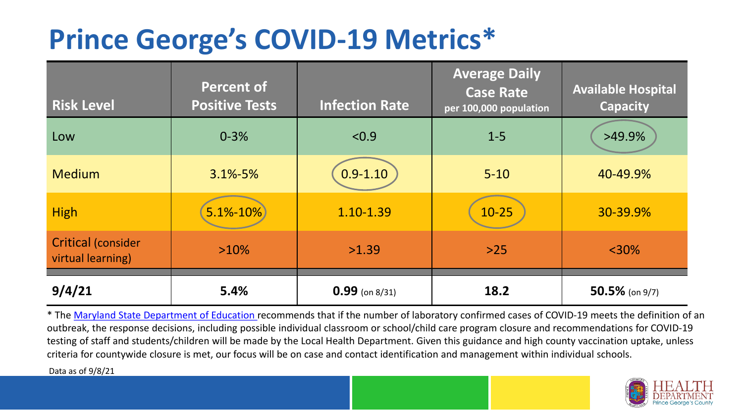## **Prince George's COVID-19 Metrics\***

| <b>Risk Level</b>                              | <b>Percent of</b><br><b>Positive Tests</b> | <b>Infection Rate</b> | <b>Average Daily</b><br><b>Case Rate</b><br>per 100,000 population | <b>Available Hospital</b><br><b>Capacity</b> |
|------------------------------------------------|--------------------------------------------|-----------------------|--------------------------------------------------------------------|----------------------------------------------|
| Low                                            | $0 - 3%$                                   | < 0.9                 | $1 - 5$                                                            | $>49.9\%$                                    |
| <b>Medium</b>                                  | $3.1\% - 5\%$                              | $0.9 - 1.10$          | $5 - 10$                                                           | 40-49.9%                                     |
| <b>High</b>                                    | $5.1\% - 10\%$                             | 1.10-1.39             | $10 - 25$                                                          | 30-39.9%                                     |
| <b>Critical (consider</b><br>virtual learning) | $>10\%$                                    | >1.39                 | $>25$                                                              | $<$ 30%                                      |
| 9/4/21                                         | 5.4%                                       | $0.99$ (on 8/31)      | 18.2                                                               | $50.5\%$ (on 9/7)                            |

\* The [Maryland State Department of Education r](https://earlychildhood.marylandpublicschools.org/system/files/filedepot/3/covid_guidance_full_080420.pdf)ecommends that if the number of laboratory confirmed cases of COVID-19 meets the definition of an outbreak, the response decisions, including possible individual classroom or school/child care program closure and recommendations for COVID-19 testing of staff and students/children will be made by the Local Health Department. Given this guidance and high county vaccination uptake, unless criteria for countywide closure is met, our focus will be on case and contact identification and management within individual schools.

Data as of 9/8/21

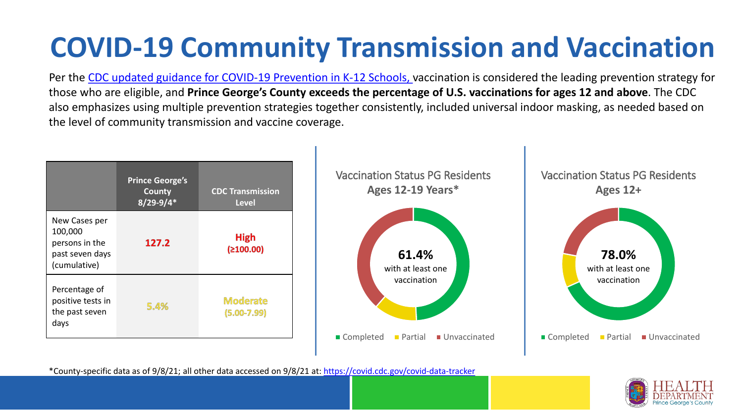# **COVID-19 Community Transmission and Vaccination**

Per the [CDC updated guidance for COVID-19 Prevention in K-12 Schools,](https://www.cdc.gov/coronavirus/2019-ncov/community/schools-childcare/k-12-guidance.html) vaccination is considered the leading prevention strategy for those who are eligible, and **Prince George's County exceeds the percentage of U.S. vaccinations for ages 12 and above**. The CDC also emphasizes using multiple prevention strategies together consistently, included universal indoor masking, as needed based on the level of community transmission and vaccine coverage.



\*County-specific data as of 9/8/21; all other data accessed on 9/8/21 at:<https://covid.cdc.gov/covid-data-tracker>

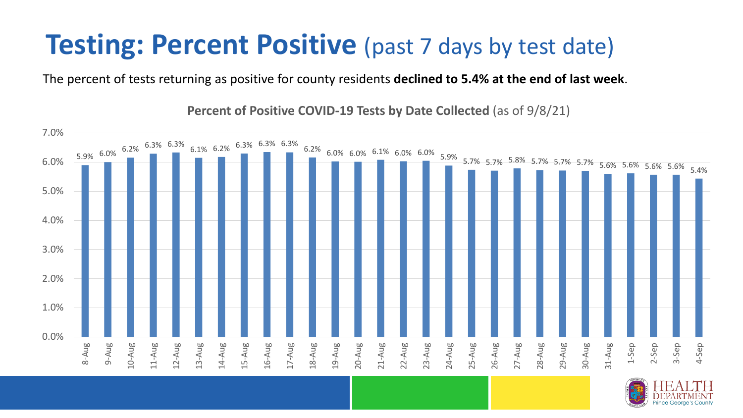### **Testing: Percent Positive** (past 7 days by test date)

The percent of tests returning as positive for county residents **declined to 5.4% at the end of last week**.

 $\frac{5.9\%}{-}$   $\frac{6.0\%}{-}$   $\frac{6.2\%}{-}$   $\frac{6.3\%}{-}$   $\frac{6.3\%}{-}$   $\frac{6.3\%}{-}$   $\frac{6.3\%}{-}$   $\frac{6.3\%}{-}$   $\frac{6.3\%}{-}$   $\frac{6.3\%}{-}$   $\frac{6.0\%}{-}$   $\frac{6.0\%}{-}$   $\frac{5.9\%}{-}$   $\frac{5.7\%}{-}$   $\frac{5.7\%}{-}$   $\frac{5.7\%}{-$ 0.0% 1.0% 2.0% 3.0% 4.0% 5.0% 6.0% 7.0% 8-Aug 9-Aug 10-Aug 11-Aug 12-Aug 13-Aug 14-Aug 15-Aug 16-Aug 17-Aug 18-Aug 19-Aug 20-Aug 21-Aug 22-Aug 23-Aug 24-Aug 25-Aug 26-Aug 27-Aug 28-Aug 29-Aug 30-Aug 31-Aug 1-Sep 2-Sep 3-Sep 4-Sep

**Percent of Positive COVID-19 Tests by Date Collected** (as of 9/8/21)

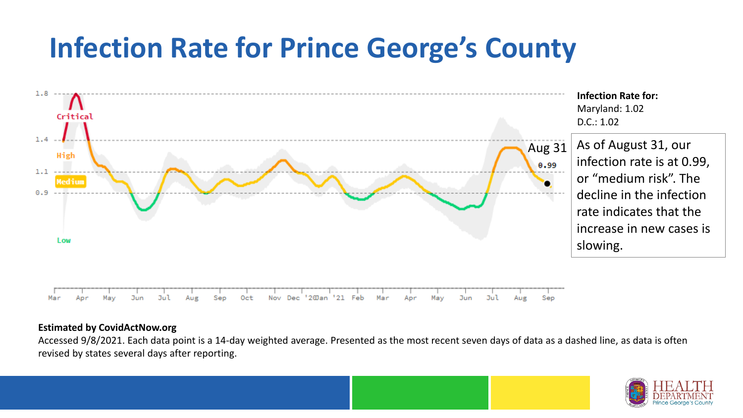## **Infection Rate for Prince George's County**



#### **Estimated by CovidActNow.org**

Accessed 9/8/2021. Each data point is a 14-day weighted average. Presented as the most recent seven days of data as a dashed line, as data is often revised by states several days after reporting.

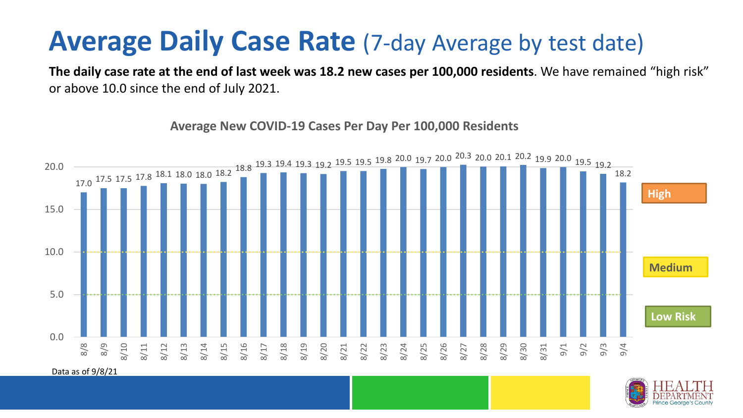#### **Average Daily Case Rate** (7-day Average by test date)

**The daily case rate at the end of last week was 18.2 new cases per 100,000 residents**. We have remained "high risk" or above 10.0 since the end of July 2021.

17.0 <sup>17.5</sup> 17.5 <sup>17.8</sup> <sup>18.1</sup> 18.0 18.0 <sup>18.2</sup> 18.8 19.3 19.4 19.3 19.2 <sup>19.5</sup> 19.5 19.8 <sup>20.0</sup> 19.7 <sup>20.0</sup> <sup>20.3</sup> 20.0 20.1 <sup>20.2</sup> 19.9 <sup>20.0</sup> 19.5 19.2 18.2 0.0 5.0 10.0 15.0 20.0 8/8 8/9 8/10 8/11 8/12 8/13 8/14 8/15 8/16 8/17 8/18 8/19 8/20 8/21 8/22 8/23 8/24 8/25 8/26 8/27 8/28 8/29 8/30 8/31 9/1 9/2 9/3 9/4 **Low Risk Medium High**

**Average New COVID-19 Cases Per Day Per 100,000 Residents**

Data as of 9/8/21